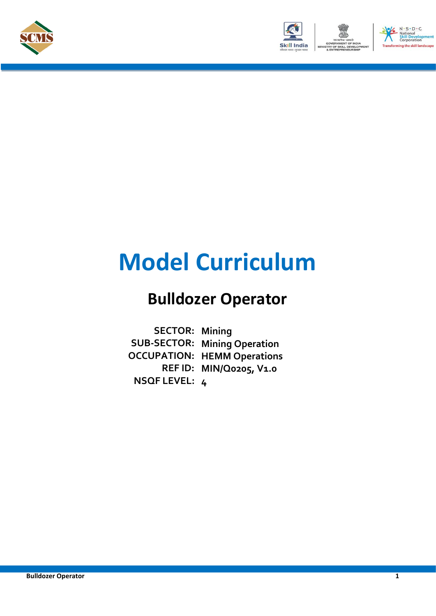



# **Model Curriculum**

### **Bulldozer Operator**

**SECTOR: Mining SUB-SECTOR: Mining Operation OCCUPATION: HEMM Operations REF ID: MIN/Q0205, V1.0 NSQF LEVEL: 4**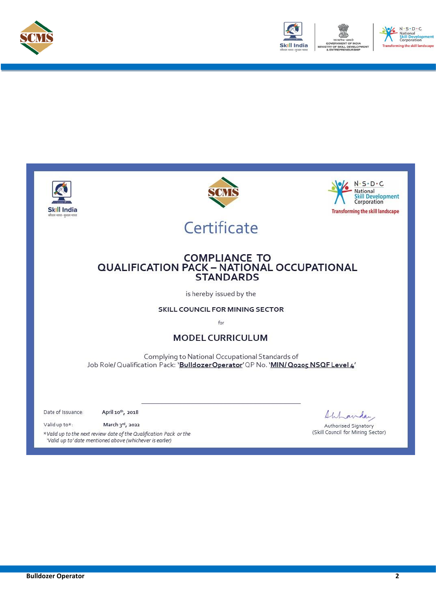



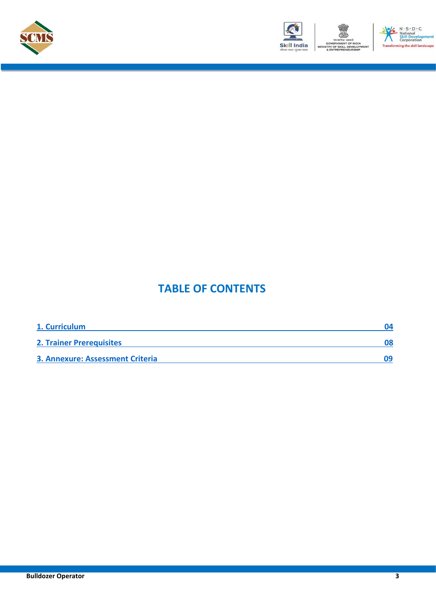





### **TABLE OF CONTENTS**

| 1. Curriculum                    |  |
|----------------------------------|--|
| <b>2. Trainer Prerequisites</b>  |  |
| 3. Annexure: Assessment Criteria |  |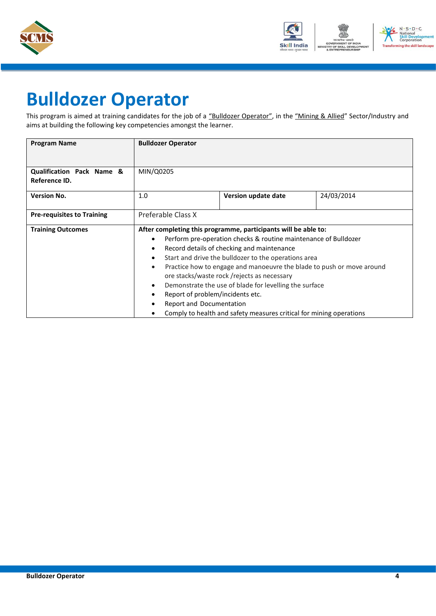



## <span id="page-3-0"></span>**Bulldozer Operator**

This program is aimed at training candidates for the job of a "Bulldozer Operator", in the "Mining & Allied" Sector/Industry and aims at building the following key competencies amongst the learner.

| <b>Program Name</b>                                   | <b>Bulldozer Operator</b>        |                                                                       |            |
|-------------------------------------------------------|----------------------------------|-----------------------------------------------------------------------|------------|
|                                                       |                                  |                                                                       |            |
| <b>Qualification Pack Name &amp;</b><br>Reference ID. | MIN/Q0205                        |                                                                       |            |
| <b>Version No.</b>                                    | 1.0                              | Version update date                                                   | 24/03/2014 |
| <b>Pre-requisites to Training</b>                     | Preferable Class X               |                                                                       |            |
| <b>Training Outcomes</b>                              |                                  | After completing this programme, participants will be able to:        |            |
|                                                       | $\bullet$                        | Perform pre-operation checks & routine maintenance of Bulldozer       |            |
|                                                       | $\bullet$                        | Record details of checking and maintenance                            |            |
|                                                       | $\bullet$                        | Start and drive the bulldozer to the operations area                  |            |
|                                                       | $\bullet$                        | Practice how to engage and manoeuvre the blade to push or move around |            |
|                                                       |                                  | ore stacks/waste rock/rejects as necessary                            |            |
|                                                       | $\bullet$                        | Demonstrate the use of blade for levelling the surface                |            |
|                                                       | Report of problem/incidents etc. |                                                                       |            |
|                                                       | Report and Documentation         |                                                                       |            |
|                                                       |                                  | Comply to health and safety measures critical for mining operations   |            |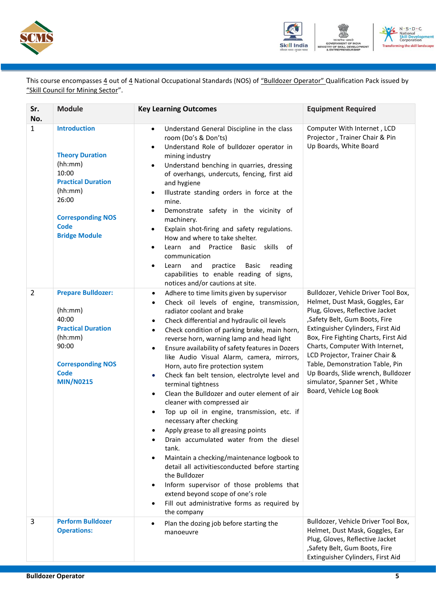



This course encompasses 4 out of 4 National Occupational Standards (NOS) of "Bulldozer Operator" Qualification Pack issued by "Skill Council for Mining Sector".

| Sr.<br>No.     | <b>Module</b>                                                                                                                                                                         | <b>Key Learning Outcomes</b>                                                                                                                                                                                                                                                                                                                                                                                                                                                                                                                                                                                                                                                                                                                                                                                                                                                                                                                                                                                                                                                                        | <b>Equipment Required</b>                                                                                                                                                                                                                                                                                                                                                                                                         |
|----------------|---------------------------------------------------------------------------------------------------------------------------------------------------------------------------------------|-----------------------------------------------------------------------------------------------------------------------------------------------------------------------------------------------------------------------------------------------------------------------------------------------------------------------------------------------------------------------------------------------------------------------------------------------------------------------------------------------------------------------------------------------------------------------------------------------------------------------------------------------------------------------------------------------------------------------------------------------------------------------------------------------------------------------------------------------------------------------------------------------------------------------------------------------------------------------------------------------------------------------------------------------------------------------------------------------------|-----------------------------------------------------------------------------------------------------------------------------------------------------------------------------------------------------------------------------------------------------------------------------------------------------------------------------------------------------------------------------------------------------------------------------------|
| $\mathbf{1}$   | <b>Introduction</b><br><b>Theory Duration</b><br>(hh:mm)<br>10:00<br><b>Practical Duration</b><br>(hh:mm)<br>26:00<br><b>Corresponding NOS</b><br><b>Code</b><br><b>Bridge Module</b> | Understand General Discipline in the class<br>$\bullet$<br>room (Do's & Don'ts)<br>Understand Role of bulldozer operator in<br>$\bullet$<br>mining industry<br>Understand benching in quarries, dressing<br>$\bullet$<br>of overhangs, undercuts, fencing, first aid<br>and hygiene<br>Illustrate standing orders in force at the<br>$\bullet$<br>mine.<br>Demonstrate safety in the vicinity of<br>$\bullet$<br>machinery.<br>Explain shot-firing and safety regulations.<br>$\bullet$<br>How and where to take shelter.<br>Learn and Practice Basic skills of<br>٠<br>communication<br>Learn<br>and<br>practice<br>Basic<br>reading<br>٠<br>capabilities to enable reading of signs,<br>notices and/or cautions at site.                                                                                                                                                                                                                                                                                                                                                                          | Computer With Internet, LCD<br>Projector, Trainer Chair & Pin<br>Up Boards, White Board                                                                                                                                                                                                                                                                                                                                           |
| $\overline{2}$ | <b>Prepare Bulldozer:</b><br>(hh:mm)<br>40:00<br><b>Practical Duration</b><br>(hh:mm)<br>90:00<br><b>Corresponding NOS</b><br><b>Code</b><br><b>MIN/N0215</b>                         | Adhere to time limits given by supervisor<br>$\bullet$<br>Check oil levels of engine, transmission,<br>$\bullet$<br>radiator coolant and brake<br>Check differential and hydraulic oil levels<br>$\bullet$<br>Check condition of parking brake, main horn,<br>$\bullet$<br>reverse horn, warning lamp and head light<br>Ensure availability of safety features in Dozers<br>$\bullet$<br>like Audio Visual Alarm, camera, mirrors,<br>Horn, auto fire protection system<br>Check fan belt tension, electrolyte level and<br>٠<br>terminal tightness<br>Clean the Bulldozer and outer element of air<br>$\bullet$<br>cleaner with compressed air<br>Top up oil in engine, transmission, etc. if<br>$\bullet$<br>necessary after checking<br>Apply grease to all greasing points<br>Drain accumulated water from the diesel<br>tank.<br>Maintain a checking/maintenance logbook to<br>detail all activitiesconducted before starting<br>the Bulldozer<br>Inform supervisor of those problems that<br>extend beyond scope of one's role<br>Fill out administrative forms as required by<br>the company | Bulldozer, Vehicle Driver Tool Box,<br>Helmet, Dust Mask, Goggles, Ear<br>Plug, Gloves, Reflective Jacket<br>,Safety Belt, Gum Boots, Fire<br>Extinguisher Cylinders, First Aid<br>Box, Fire Fighting Charts, First Aid<br>Charts, Computer With Internet,<br>LCD Projector, Trainer Chair &<br>Table, Demonstration Table, Pin<br>Up Boards, Slide wrench, Bulldozer<br>simulator, Spanner Set, White<br>Board, Vehicle Log Book |
| 3              | <b>Perform Bulldozer</b><br><b>Operations:</b>                                                                                                                                        | Plan the dozing job before starting the<br>manoeuvre                                                                                                                                                                                                                                                                                                                                                                                                                                                                                                                                                                                                                                                                                                                                                                                                                                                                                                                                                                                                                                                | Bulldozer, Vehicle Driver Tool Box,<br>Helmet, Dust Mask, Goggles, Ear<br>Plug, Gloves, Reflective Jacket<br>,Safety Belt, Gum Boots, Fire<br>Extinguisher Cylinders, First Aid                                                                                                                                                                                                                                                   |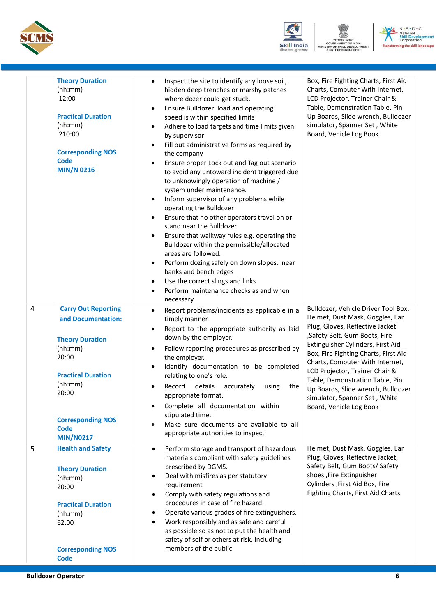





|   | <b>Theory Duration</b><br>(hh:mm)<br>12:00<br><b>Practical Duration</b><br>(hh:mm)<br>210:00<br><b>Corresponding NOS</b><br><b>Code</b><br><b>MIN/N 0216</b>                                                   | Inspect the site to identify any loose soil,<br>hidden deep trenches or marshy patches<br>where dozer could get stuck.<br>Ensure Bulldozer load and operating<br>$\bullet$<br>speed is within specified limits<br>Adhere to load targets and time limits given<br>$\bullet$<br>by supervisor<br>Fill out administrative forms as required by<br>the company<br>Ensure proper Lock out and Tag out scenario<br>to avoid any untoward incident triggered due<br>to unknowingly operation of machine /<br>system under maintenance.<br>Inform supervisor of any problems while<br>operating the Bulldozer<br>Ensure that no other operators travel on or<br>$\bullet$<br>stand near the Bulldozer<br>Ensure that walkway rules e.g. operating the<br>$\bullet$<br>Bulldozer within the permissible/allocated<br>areas are followed.<br>Perform dozing safely on down slopes, near<br>banks and bench edges<br>Use the correct slings and links<br>$\bullet$<br>Perform maintenance checks as and when<br>necessary | Box, Fire Fighting Charts, First Aid<br>Charts, Computer With Internet,<br>LCD Projector, Trainer Chair &<br>Table, Demonstration Table, Pin<br>Up Boards, Slide wrench, Bulldozer<br>simulator, Spanner Set, White<br>Board, Vehicle Log Book                                                                                                                                                                                    |
|---|----------------------------------------------------------------------------------------------------------------------------------------------------------------------------------------------------------------|-----------------------------------------------------------------------------------------------------------------------------------------------------------------------------------------------------------------------------------------------------------------------------------------------------------------------------------------------------------------------------------------------------------------------------------------------------------------------------------------------------------------------------------------------------------------------------------------------------------------------------------------------------------------------------------------------------------------------------------------------------------------------------------------------------------------------------------------------------------------------------------------------------------------------------------------------------------------------------------------------------------------|-----------------------------------------------------------------------------------------------------------------------------------------------------------------------------------------------------------------------------------------------------------------------------------------------------------------------------------------------------------------------------------------------------------------------------------|
| 4 | <b>Carry Out Reporting</b><br>and Documentation:<br><b>Theory Duration</b><br>(hh:mm)<br>20:00<br><b>Practical Duration</b><br>(hh:mm)<br>20:00<br><b>Corresponding NOS</b><br><b>Code</b><br><b>MIN/N0217</b> | Report problems/incidents as applicable in a<br>$\bullet$<br>timely manner.<br>Report to the appropriate authority as laid<br>down by the employer.<br>Follow reporting procedures as prescribed by<br>the employer.<br>Identify documentation to be completed<br>relating to one's role.<br>Record details<br>accurately<br>using<br>the<br>appropriate format.<br>Complete all documentation within<br>stipulated time.<br>Make sure documents are available to all<br>appropriate authorities to inspect                                                                                                                                                                                                                                                                                                                                                                                                                                                                                                     | Bulldozer, Vehicle Driver Tool Box,<br>Helmet, Dust Mask, Goggles, Ear<br>Plug, Gloves, Reflective Jacket<br>,Safety Belt, Gum Boots, Fire<br>Extinguisher Cylinders, First Aid<br>Box, Fire Fighting Charts, First Aid<br>Charts, Computer With Internet,<br>LCD Projector, Trainer Chair &<br>Table, Demonstration Table, Pin<br>Up Boards, Slide wrench, Bulldozer<br>simulator, Spanner Set, White<br>Board, Vehicle Log Book |
| 5 | <b>Health and Safety</b><br><b>Theory Duration</b><br>(hh:mm)<br>20:00<br><b>Practical Duration</b><br>(hh:mm)<br>62:00<br><b>Corresponding NOS</b><br><b>Code</b>                                             | Perform storage and transport of hazardous<br>$\bullet$<br>materials compliant with safety guidelines<br>prescribed by DGMS.<br>Deal with misfires as per statutory<br>٠<br>requirement<br>Comply with safety regulations and<br>$\bullet$<br>procedures in case of fire hazard.<br>Operate various grades of fire extinguishers.<br>$\bullet$<br>Work responsibly and as safe and careful<br>$\bullet$<br>as possible so as not to put the health and<br>safety of self or others at risk, including<br>members of the public                                                                                                                                                                                                                                                                                                                                                                                                                                                                                  | Helmet, Dust Mask, Goggles, Ear<br>Plug, Gloves, Reflective Jacket,<br>Safety Belt, Gum Boots/ Safety<br>shoes , Fire Extinguisher<br>Cylinders , First Aid Box, Fire<br>Fighting Charts, First Aid Charts                                                                                                                                                                                                                        |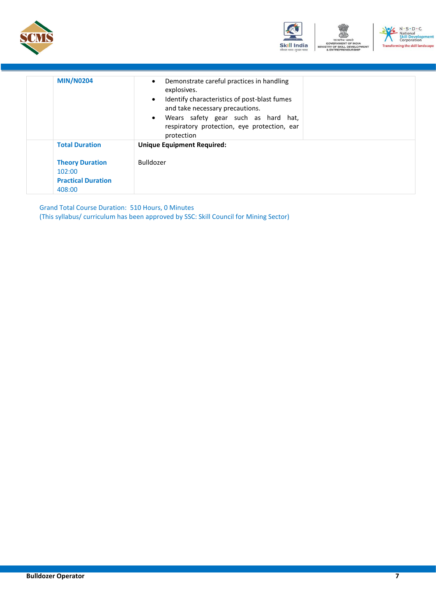





| <b>MIN/N0204</b>                                                        | Demonstrate careful practices in handling<br>$\bullet$<br>explosives.<br>Identify characteristics of post-blast fumes<br>$\bullet$<br>and take necessary precautions.<br>• Wears safety gear such as hard hat,<br>respiratory protection, eye protection, ear<br>protection |
|-------------------------------------------------------------------------|-----------------------------------------------------------------------------------------------------------------------------------------------------------------------------------------------------------------------------------------------------------------------------|
| <b>Total Duration</b>                                                   | <b>Unique Equipment Required:</b>                                                                                                                                                                                                                                           |
| <b>Theory Duration</b><br>102:00<br><b>Practical Duration</b><br>408:00 | <b>Bulldozer</b>                                                                                                                                                                                                                                                            |

Grand Total Course Duration: 510 Hours, 0 Minutes (This syllabus/ curriculum has been approved by SSC: Skill Council for Mining Sector)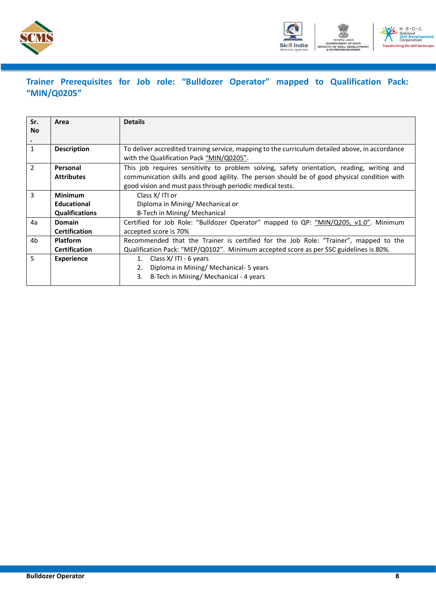



### <span id="page-7-0"></span>**Trainer Prerequisites for Job role: "Bulldozer Operator" mapped to Qualification Pack: "MIN/Q0205"**

| Sr.<br><b>No</b> | Area                  | <b>Details</b>                                                                                                                                           |  |  |
|------------------|-----------------------|----------------------------------------------------------------------------------------------------------------------------------------------------------|--|--|
|                  |                       |                                                                                                                                                          |  |  |
| 1                | <b>Description</b>    | To deliver accredited training service, mapping to the curriculum detailed above, in accordance<br>with the Qualification Pack "MIN/Q0205".              |  |  |
| $\mathcal{P}$    | Personal              | This job requires sensitivity to problem solving, safety orientation, reading, writing and                                                               |  |  |
|                  | <b>Attributes</b>     | communication skills and good agility. The person should be of good physical condition with<br>good vision and must pass through periodic medical tests. |  |  |
| 3                | <b>Minimum</b>        | Class $X/$ ITI or                                                                                                                                        |  |  |
|                  | <b>Educational</b>    | Diploma in Mining/ Mechanical or                                                                                                                         |  |  |
|                  | <b>Qualifications</b> | B-Tech in Mining/ Mechanical                                                                                                                             |  |  |
| 4a               | <b>Domain</b>         | Certified for Job Role: "Bulldozer Operator" mapped to QP: "MIN/Q205, v1.0". Minimum                                                                     |  |  |
|                  | <b>Certification</b>  | accepted score is 70%                                                                                                                                    |  |  |
| 4b               | <b>Platform</b>       | Recommended that the Trainer is certified for the Job Role: "Trainer", mapped to the                                                                     |  |  |
|                  | <b>Certification</b>  | Qualification Pack: "MEP/Q0102". Minimum accepted score as per SSC guidelines is 80%.                                                                    |  |  |
| 5                | <b>Experience</b>     | Class X/ITI - 6 years<br>1.                                                                                                                              |  |  |
|                  |                       | Diploma in Mining/ Mechanical- 5 years<br>2.                                                                                                             |  |  |
|                  |                       | B-Tech in Mining/ Mechanical - 4 years<br>3.                                                                                                             |  |  |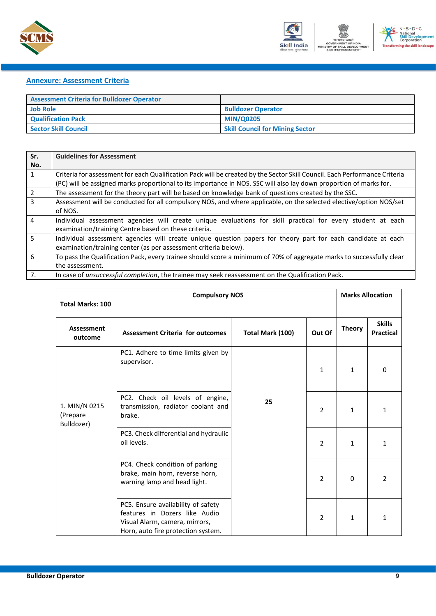



#### <span id="page-8-0"></span>**Annexure: Assessment Criteria**

| <b>Assessment Criteria for Bulldozer Operator</b> |                                        |
|---------------------------------------------------|----------------------------------------|
| <b>Job Role</b>                                   | <b>Bulldozer Operator</b>              |
| <b>Qualification Pack</b>                         | <b>MIN/Q0205</b>                       |
| <b>Sector Skill Council</b>                       | <b>Skill Council for Mining Sector</b> |

| Sr.            | <b>Guidelines for Assessment</b>                                                                                           |
|----------------|----------------------------------------------------------------------------------------------------------------------------|
| No.            |                                                                                                                            |
| $\mathbf{1}$   | Criteria for assessment for each Qualification Pack will be created by the Sector Skill Council. Each Performance Criteria |
|                | (PC) will be assigned marks proportional to its importance in NOS. SSC will also lay down proportion of marks for.         |
| $\overline{2}$ | The assessment for the theory part will be based on knowledge bank of questions created by the SSC.                        |
| $\overline{3}$ | Assessment will be conducted for all compulsory NOS, and where applicable, on the selected elective/option NOS/set         |
|                | of NOS.                                                                                                                    |
| 4              | Individual assessment agencies will create unique evaluations for skill practical for every student at each                |
|                | examination/training Centre based on these criteria.                                                                       |
| 5 <sup>1</sup> | Individual assessment agencies will create unique question papers for theory part for each candidate at each               |
|                | examination/training center (as per assessment criteria below).                                                            |
| 6              | To pass the Qualification Pack, every trainee should score a minimum of 70% of aggregate marks to successfully clear       |
|                | the assessment.                                                                                                            |
| 7.             | In case of <i>unsuccessful completion</i> , the trainee may seek reassessment on the Qualification Pack.                   |

|                                         | <b>Compulsory NOS</b>                                                                                                                       |                  |                | <b>Marks Allocation</b> |                                   |
|-----------------------------------------|---------------------------------------------------------------------------------------------------------------------------------------------|------------------|----------------|-------------------------|-----------------------------------|
| <b>Total Marks: 100</b>                 |                                                                                                                                             |                  |                |                         |                                   |
| Assessment<br>outcome                   | <b>Assessment Criteria for outcomes</b>                                                                                                     | Total Mark (100) | Out Of         | <b>Theory</b>           | <b>Skills</b><br><b>Practical</b> |
|                                         | PC1. Adhere to time limits given by<br>supervisor.                                                                                          |                  | 1              | 1                       | $\mathbf{0}$                      |
| 1. MIN/N 0215<br>(Prepare<br>Bulldozer) | PC2. Check oil levels of engine,<br>transmission, radiator coolant and<br>brake.                                                            | 25               | $\overline{2}$ | 1                       | 1                                 |
|                                         | PC3. Check differential and hydraulic<br>oil levels.                                                                                        |                  | $\overline{2}$ | 1                       | 1                                 |
|                                         | PC4. Check condition of parking<br>brake, main horn, reverse horn,<br>warning lamp and head light.                                          |                  | $\overline{2}$ | 0                       | $\overline{2}$                    |
|                                         | PC5. Ensure availability of safety<br>features in Dozers like Audio<br>Visual Alarm, camera, mirrors,<br>Horn, auto fire protection system. |                  | $\overline{2}$ | 1                       | 1                                 |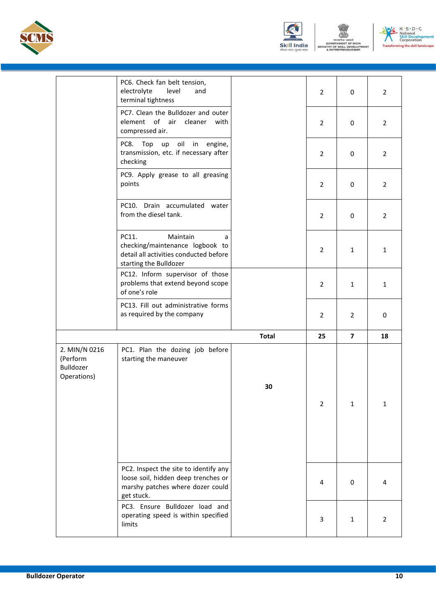





|                                                       | PC6. Check fan belt tension,<br>level<br>electrolyte<br>and<br>terminal tightness                                              |              | $\overline{2}$ | $\Omega$                | $\overline{2}$ |
|-------------------------------------------------------|--------------------------------------------------------------------------------------------------------------------------------|--------------|----------------|-------------------------|----------------|
|                                                       | PC7. Clean the Bulldozer and outer<br>element of air cleaner with<br>compressed air.                                           |              | $\overline{2}$ | 0                       | $\overline{2}$ |
|                                                       | PC8. Top up oil in engine,<br>transmission, etc. if necessary after<br>checking                                                |              | $\overline{2}$ | 0                       | $\overline{2}$ |
|                                                       | PC9. Apply grease to all greasing<br>points                                                                                    |              | $\overline{2}$ | 0                       | $\overline{2}$ |
|                                                       | PC10. Drain accumulated water<br>from the diesel tank.                                                                         |              | $\overline{2}$ | 0                       | $\overline{2}$ |
|                                                       | Maintain<br>PC11.<br>a<br>checking/maintenance logbook to<br>detail all activities conducted before<br>starting the Bulldozer  |              | $\overline{2}$ | 1                       | $\mathbf{1}$   |
|                                                       | PC12. Inform supervisor of those<br>problems that extend beyond scope<br>of one's role                                         |              | $\overline{2}$ | $\mathbf{1}$            | $\mathbf{1}$   |
|                                                       | PC13. Fill out administrative forms<br>as required by the company                                                              |              | $\overline{2}$ | 2                       | 0              |
|                                                       |                                                                                                                                | <b>Total</b> | 25             | $\overline{\mathbf{z}}$ | 18             |
| 2. MIN/N 0216<br>(Perform<br>Bulldozer<br>Operations) | PC1. Plan the dozing job before<br>starting the maneuver                                                                       | 30           | $\overline{2}$ | $\mathbf{1}$            | $\mathbf{1}$   |
|                                                       | PC2. Inspect the site to identify any<br>loose soil, hidden deep trenches or<br>marshy patches where dozer could<br>get stuck. |              | $\overline{4}$ | 0                       | 4              |
|                                                       | PC3. Ensure Bulldozer load and<br>operating speed is within specified<br>limits                                                |              | 3              | $\mathbf{1}$            | $\overline{2}$ |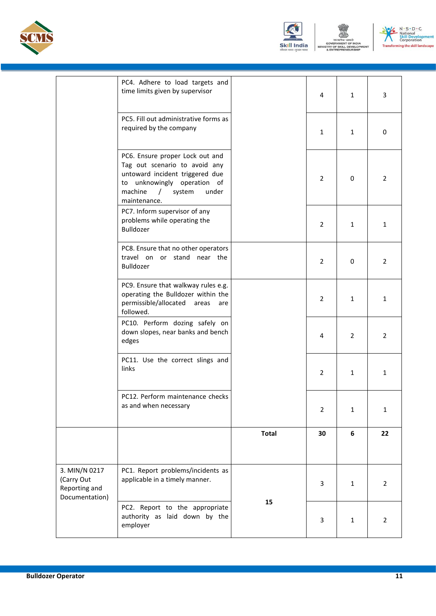





|                                                                | PC4. Adhere to load targets and<br>time limits given by supervisor                                                                                                                           |              | 4              | $\mathbf{1}$   | 3              |
|----------------------------------------------------------------|----------------------------------------------------------------------------------------------------------------------------------------------------------------------------------------------|--------------|----------------|----------------|----------------|
|                                                                | PC5. Fill out administrative forms as<br>required by the company                                                                                                                             |              | $\mathbf{1}$   | 1              | 0              |
|                                                                | PC6. Ensure proper Lock out and<br>Tag out scenario to avoid any<br>untoward incident triggered due<br>to unknowingly operation of<br>machine<br>system<br>under<br>$\prime$<br>maintenance. |              | $\overline{2}$ | 0              | 2              |
|                                                                | PC7. Inform supervisor of any<br>problems while operating the<br>Bulldozer                                                                                                                   |              | $\overline{2}$ | 1              | 1              |
|                                                                | PC8. Ensure that no other operators<br>travel on or stand near the<br>Bulldozer                                                                                                              |              | $\overline{2}$ | 0              | 2              |
|                                                                | PC9. Ensure that walkway rules e.g.<br>operating the Bulldozer within the<br>permissible/allocated<br>areas<br>are<br>followed.                                                              |              | $\overline{2}$ | 1              | 1              |
|                                                                | PC10. Perform dozing safely on<br>down slopes, near banks and bench<br>edges                                                                                                                 |              | 4              | $\overline{2}$ | 2              |
|                                                                | PC11. Use the correct slings and<br>links                                                                                                                                                    |              | $\overline{2}$ | 1              | 1              |
|                                                                | PC12. Perform maintenance checks<br>as and when necessary                                                                                                                                    |              | $\overline{2}$ | $\mathbf{1}$   | 1              |
|                                                                |                                                                                                                                                                                              | <b>Total</b> | 30             | 6              | 22             |
|                                                                |                                                                                                                                                                                              |              |                |                |                |
| 3. MIN/N 0217<br>(Carry Out<br>Reporting and<br>Documentation) | PC1. Report problems/incidents as<br>applicable in a timely manner.                                                                                                                          |              | 3              | $\mathbf{1}$   | $\overline{2}$ |
|                                                                | PC2. Report to the appropriate<br>authority as laid down by the<br>employer                                                                                                                  | 15           | 3              | $\mathbf{1}$   | $\overline{2}$ |
|                                                                |                                                                                                                                                                                              |              |                |                |                |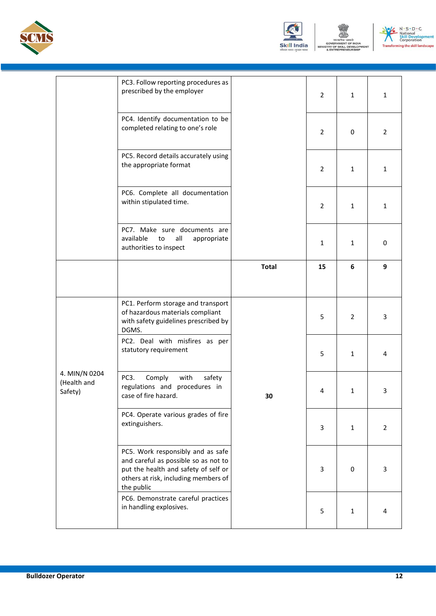





|                                         | PC3. Follow reporting procedures as<br>prescribed by the employer                                                                                                       |              | $\overline{2}$ | $\mathbf{1}$   | $\mathbf{1}$ |
|-----------------------------------------|-------------------------------------------------------------------------------------------------------------------------------------------------------------------------|--------------|----------------|----------------|--------------|
|                                         | PC4. Identify documentation to be<br>completed relating to one's role                                                                                                   |              | $\overline{2}$ | 0              | 2            |
|                                         | PC5. Record details accurately using<br>the appropriate format                                                                                                          |              | $\overline{2}$ | 1              | $\mathbf{1}$ |
|                                         | PC6. Complete all documentation<br>within stipulated time.                                                                                                              |              | $\overline{2}$ | 1              | $\mathbf{1}$ |
|                                         | PC7. Make sure documents are<br>available<br>all<br>to<br>appropriate<br>authorities to inspect                                                                         |              | $\mathbf{1}$   | $\mathbf{1}$   | 0            |
|                                         |                                                                                                                                                                         | <b>Total</b> | 15             | 6              | 9            |
|                                         | PC1. Perform storage and transport<br>of hazardous materials compliant<br>with safety guidelines prescribed by<br>DGMS.                                                 |              | 5              | $\overline{2}$ | 3            |
|                                         | PC2. Deal with misfires as per<br>statutory requirement                                                                                                                 |              | 5              | 1              | 4            |
| 4. MIN/N 0204<br>(Health and<br>Safety) | PC3.<br>with<br>Comply<br>safety<br>regulations and procedures in<br>case of fire hazard.                                                                               | 30           | 4              | $\mathbf{1}$   | 3            |
|                                         | PC4. Operate various grades of fire<br>extinguishers.                                                                                                                   |              | 3              | 1              | 2            |
|                                         | PC5. Work responsibly and as safe<br>and careful as possible so as not to<br>put the health and safety of self or<br>others at risk, including members of<br>the public |              | 3              | 0              | 3            |
|                                         | PC6. Demonstrate careful practices<br>in handling explosives.                                                                                                           |              | 5              | $\mathbf{1}$   | 4            |
|                                         |                                                                                                                                                                         |              |                |                |              |